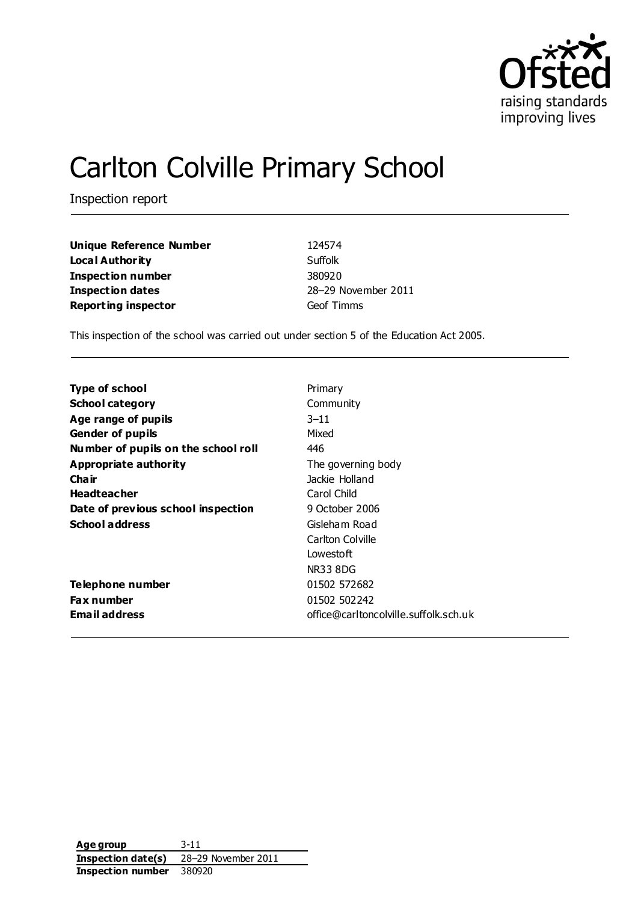

# Carlton Colville Primary School

Inspection report

| Unique Reference Number    | 124574              |
|----------------------------|---------------------|
| Loca l Authority           | Suffolk             |
| Inspection number          | 380920              |
| Inspection dates           | 28-29 November 2011 |
| <b>Reporting inspector</b> | Geof Timms          |

This inspection of the school was carried out under section 5 of the Education Act 2005.

| <b>Type of school</b>               | Primary                               |
|-------------------------------------|---------------------------------------|
| <b>School category</b>              | Community                             |
| Age range of pupils                 | $3 - 11$                              |
| <b>Gender of pupils</b>             | Mixed                                 |
| Number of pupils on the school roll | 446                                   |
| <b>Appropriate authority</b>        | The governing body                    |
| Cha ir                              | Jackie Holland                        |
| <b>Headteacher</b>                  | Carol Child                           |
| Date of previous school inspection  | 9 October 2006                        |
| <b>School address</b>               | Gisleham Road                         |
|                                     | Carlton Colville                      |
|                                     | Lowestoft                             |
|                                     | NR33 8DG                              |
| Telephone number                    | 01502 572682                          |
| Fax number                          | 01502 502242                          |
| Email address                       | office@carltoncolville.suffolk.sch.uk |
|                                     |                                       |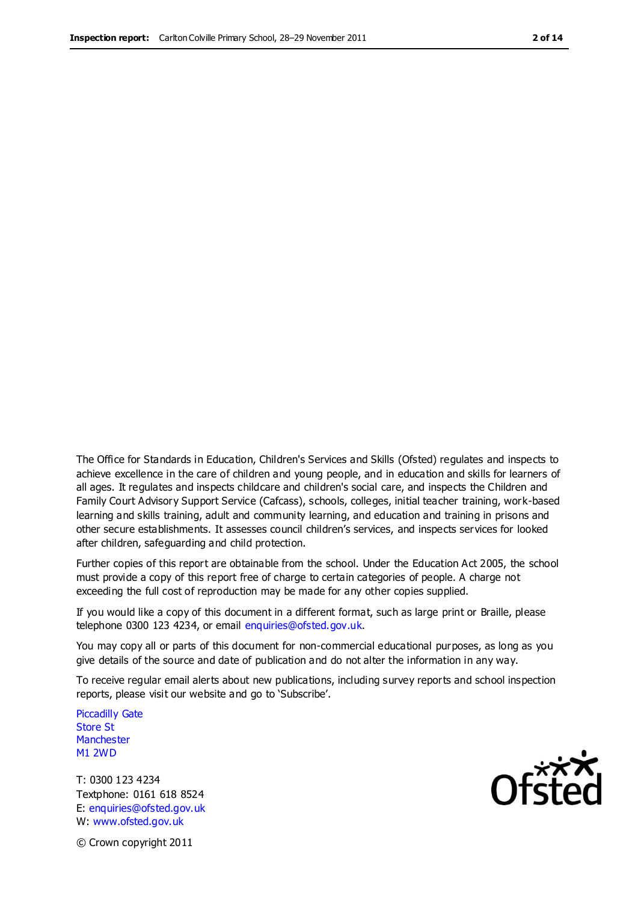The Office for Standards in Education, Children's Services and Skills (Ofsted) regulates and inspects to achieve excellence in the care of children and young people, and in education and skills for learners of all ages. It regulates and inspects childcare and children's social care, and inspects the Children and Family Court Advisory Support Service (Cafcass), schools, colleges, initial teacher training, work-based learning and skills training, adult and community learning, and education and training in prisons and other secure establishments. It assesses council children's services, and inspects services for looked after children, safeguarding and child protection.

Further copies of this report are obtainable from the school. Under the Education Act 2005, the school must provide a copy of this report free of charge to certain categories of people. A charge not exceeding the full cost of reproduction may be made for any other copies supplied.

If you would like a copy of this document in a different format, such as large print or Braille, please telephone 0300 123 4234, or email enquiries@ofsted.gov.uk.

You may copy all or parts of this document for non-commercial educational purposes, as long as you give details of the source and date of publication and do not alter the information in any way.

To receive regular email alerts about new publications, including survey reports and school inspection reports, please visit our website and go to 'Subscribe'.

Piccadilly Gate Store St **Manchester** M1 2WD

T: 0300 123 4234 Textphone: 0161 618 8524 E: enquiries@ofsted.gov.uk W: www.ofsted.gov.uk

Ofsted

© Crown copyright 2011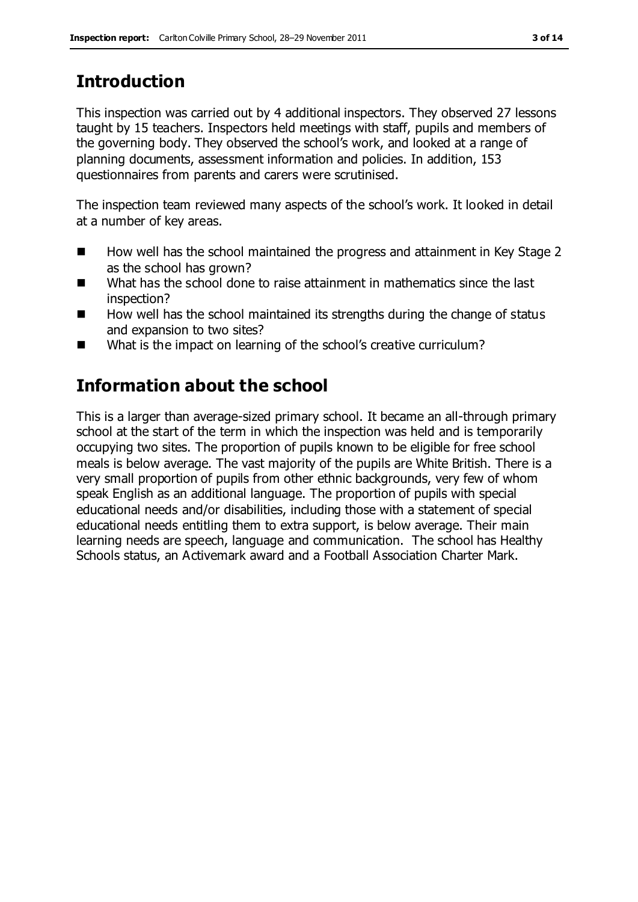# **Introduction**

This inspection was carried out by 4 additional inspectors. They observed 27 lessons taught by 15 teachers. Inspectors held meetings with staff, pupils and members of the governing body. They observed the school's work, and looked at a range of planning documents, assessment information and policies. In addition, 153 questionnaires from parents and carers were scrutinised.

The inspection team reviewed many aspects of the school's work. It looked in detail at a number of key areas.

- How well has the school maintained the progress and attainment in Key Stage 2 as the school has grown?
- What has the school done to raise attainment in mathematics since the last inspection?
- $\blacksquare$  How well has the school maintained its strengths during the change of status and expansion to two sites?
- What is the impact on learning of the school's creative curriculum?

## **Information about the school**

This is a larger than average-sized primary school. It became an all-through primary school at the start of the term in which the inspection was held and is temporarily occupying two sites. The proportion of pupils known to be eligible for free school meals is below average. The vast majority of the pupils are White British. There is a very small proportion of pupils from other ethnic backgrounds, very few of whom speak English as an additional language. The proportion of pupils with special educational needs and/or disabilities, including those with a statement of special educational needs entitling them to extra support, is below average. Their main learning needs are speech, language and communication. The school has Healthy Schools status, an Activemark award and a Football Association Charter Mark.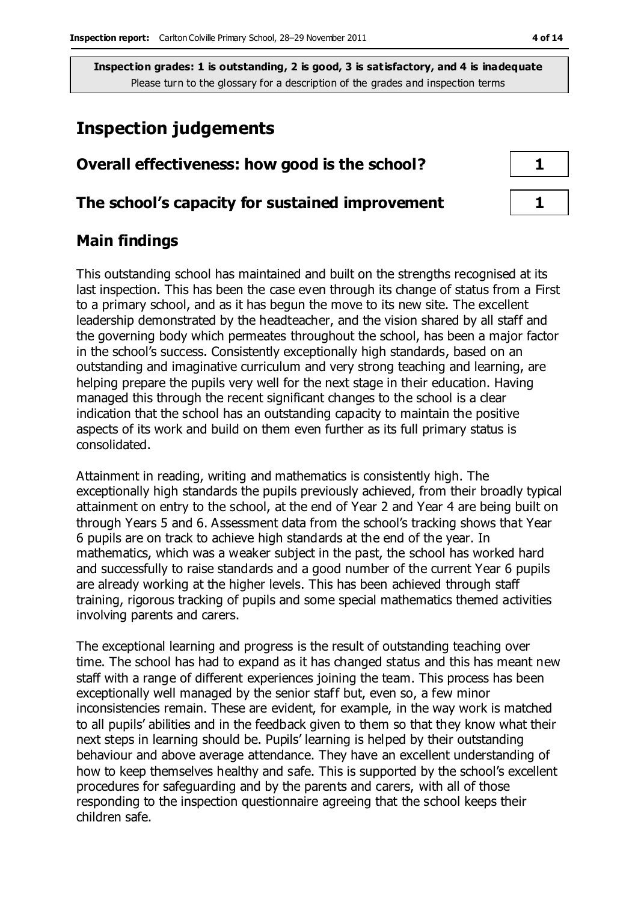## **Inspection judgements**

| Overall effectiveness: how good is the school?  |  |
|-------------------------------------------------|--|
| The school's capacity for sustained improvement |  |

## **Main findings**

This outstanding school has maintained and built on the strengths recognised at its last inspection. This has been the case even through its change of status from a First to a primary school, and as it has begun the move to its new site. The excellent leadership demonstrated by the headteacher, and the vision shared by all staff and the governing body which permeates throughout the school, has been a major factor in the school's success. Consistently exceptionally high standards, based on an outstanding and imaginative curriculum and very strong teaching and learning, are helping prepare the pupils very well for the next stage in their education. Having managed this through the recent significant changes to the school is a clear indication that the school has an outstanding capacity to maintain the positive aspects of its work and build on them even further as its full primary status is consolidated.

Attainment in reading, writing and mathematics is consistently high. The exceptionally high standards the pupils previously achieved, from their broadly typical attainment on entry to the school, at the end of Year 2 and Year 4 are being built on through Years 5 and 6. Assessment data from the school's tracking shows that Year 6 pupils are on track to achieve high standards at the end of the year. In mathematics, which was a weaker subject in the past, the school has worked hard and successfully to raise standards and a good number of the current Year 6 pupils are already working at the higher levels. This has been achieved through staff training, rigorous tracking of pupils and some special mathematics themed activities involving parents and carers.

The exceptional learning and progress is the result of outstanding teaching over time. The school has had to expand as it has changed status and this has meant new staff with a range of different experiences joining the team. This process has been exceptionally well managed by the senior staff but, even so, a few minor inconsistencies remain. These are evident, for example, in the way work is matched to all pupils' abilities and in the feedback given to them so that they know what their next steps in learning should be. Pupils' learning is helped by their outstanding behaviour and above average attendance. They have an excellent understanding of how to keep themselves healthy and safe. This is supported by the school's excellent procedures for safeguarding and by the parents and carers, with all of those responding to the inspection questionnaire agreeing that the school keeps their children safe.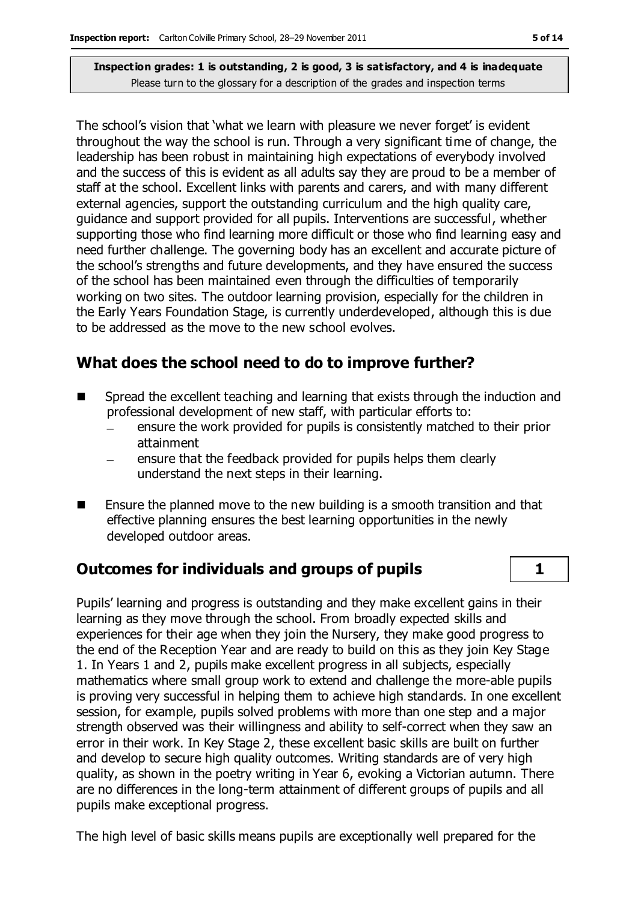The school's vision that 'what we learn with pleasure we never forget' is evident throughout the way the school is run. Through a very significant time of change, the leadership has been robust in maintaining high expectations of everybody involved and the success of this is evident as all adults say they are proud to be a member of staff at the school. Excellent links with parents and carers, and with many different external agencies, support the outstanding curriculum and the high quality care, guidance and support provided for all pupils. Interventions are successful, whether supporting those who find learning more difficult or those who find learning easy and need further challenge. The governing body has an excellent and accurate picture of the school's strengths and future developments, and they have ensured the success of the school has been maintained even through the difficulties of temporarily working on two sites. The outdoor learning provision, especially for the children in the Early Years Foundation Stage, is currently underdeveloped, although this is due to be addressed as the move to the new school evolves.

## **What does the school need to do to improve further?**

- Spread the excellent teaching and learning that exists through the induction and professional development of new staff, with particular efforts to:
	- ensure the work provided for pupils is consistently matched to their prior attainment
	- ensure that the feedback provided for pupils helps them clearly understand the next steps in their learning.
- Ensure the planned move to the new building is a smooth transition and that effective planning ensures the best learning opportunities in the newly developed outdoor areas.

## **Outcomes for individuals and groups of pupils 1**

Pupils' learning and progress is outstanding and they make excellent gains in their learning as they move through the school. From broadly expected skills and experiences for their age when they join the Nursery, they make good progress to the end of the Reception Year and are ready to build on this as they join Key Stage 1. In Years 1 and 2, pupils make excellent progress in all subjects, especially mathematics where small group work to extend and challenge the more-able pupils is proving very successful in helping them to achieve high standards. In one excellent session, for example, pupils solved problems with more than one step and a major strength observed was their willingness and ability to self-correct when they saw an error in their work. In Key Stage 2, these excellent basic skills are built on further and develop to secure high quality outcomes. Writing standards are of very high quality, as shown in the poetry writing in Year 6, evoking a Victorian autumn. There are no differences in the long-term attainment of different groups of pupils and all pupils make exceptional progress.

The high level of basic skills means pupils are exceptionally well prepared for the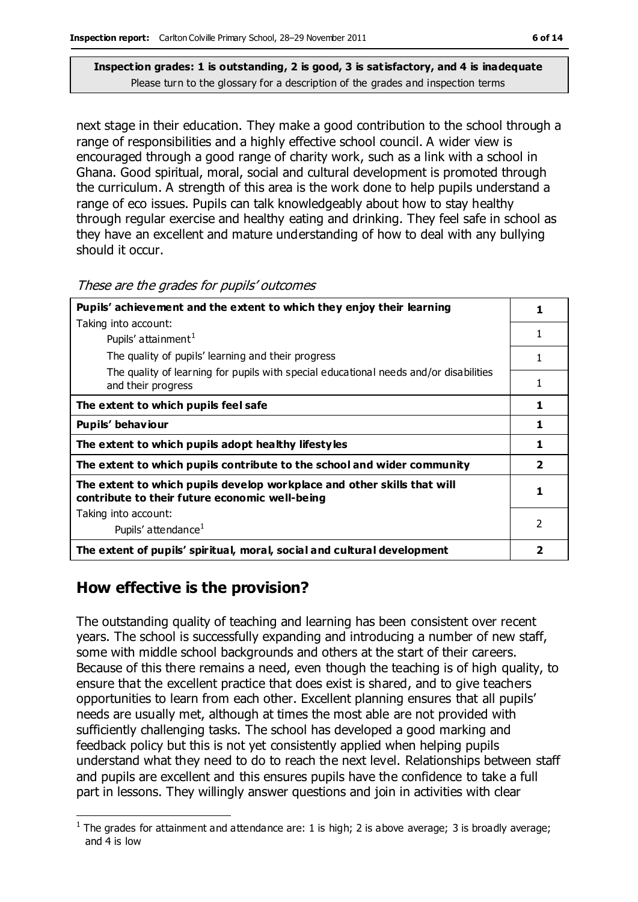next stage in their education. They make a good contribution to the school through a range of responsibilities and a highly effective school council. A wider view is encouraged through a good range of charity work, such as a link with a school in Ghana. Good spiritual, moral, social and cultural development is promoted through the curriculum. A strength of this area is the work done to help pupils understand a range of eco issues. Pupils can talk knowledgeably about how to stay healthy through regular exercise and healthy eating and drinking. They feel safe in school as they have an excellent and mature understanding of how to deal with any bullying should it occur.

#### These are the grades for pupils' outcomes

| Pupils' achievement and the extent to which they enjoy their learning                                                     |                          |
|---------------------------------------------------------------------------------------------------------------------------|--------------------------|
| Taking into account:                                                                                                      |                          |
| Pupils' attainment <sup>1</sup>                                                                                           | 1                        |
| The quality of pupils' learning and their progress                                                                        | 1                        |
| The quality of learning for pupils with special educational needs and/or disabilities<br>and their progress               | 1                        |
| The extent to which pupils feel safe                                                                                      | 1                        |
| Pupils' behaviour                                                                                                         | 1                        |
| The extent to which pupils adopt healthy lifestyles                                                                       | 1                        |
| The extent to which pupils contribute to the school and wider community                                                   | $\overline{\mathbf{2}}$  |
| The extent to which pupils develop workplace and other skills that will<br>contribute to their future economic well-being |                          |
| Taking into account:                                                                                                      |                          |
| Pupils' attendance <sup>1</sup>                                                                                           | $\overline{\phantom{a}}$ |
| The extent of pupils' spiritual, moral, social and cultural development                                                   | 2                        |

## **How effective is the provision?**

The outstanding quality of teaching and learning has been consistent over recent years. The school is successfully expanding and introducing a number of new staff, some with middle school backgrounds and others at the start of their careers. Because of this there remains a need, even though the teaching is of high quality, to ensure that the excellent practice that does exist is shared, and to give teachers opportunities to learn from each other. Excellent planning ensures that all pupils' needs are usually met, although at times the most able are not provided with sufficiently challenging tasks. The school has developed a good marking and feedback policy but this is not yet consistently applied when helping pupils understand what they need to do to reach the next level. Relationships between staff and pupils are excellent and this ensures pupils have the confidence to take a full part in lessons. They willingly answer questions and join in activities with clear

 $\overline{a}$ <sup>1</sup> The grades for attainment and attendance are: 1 is high; 2 is above average; 3 is broadly average; and 4 is low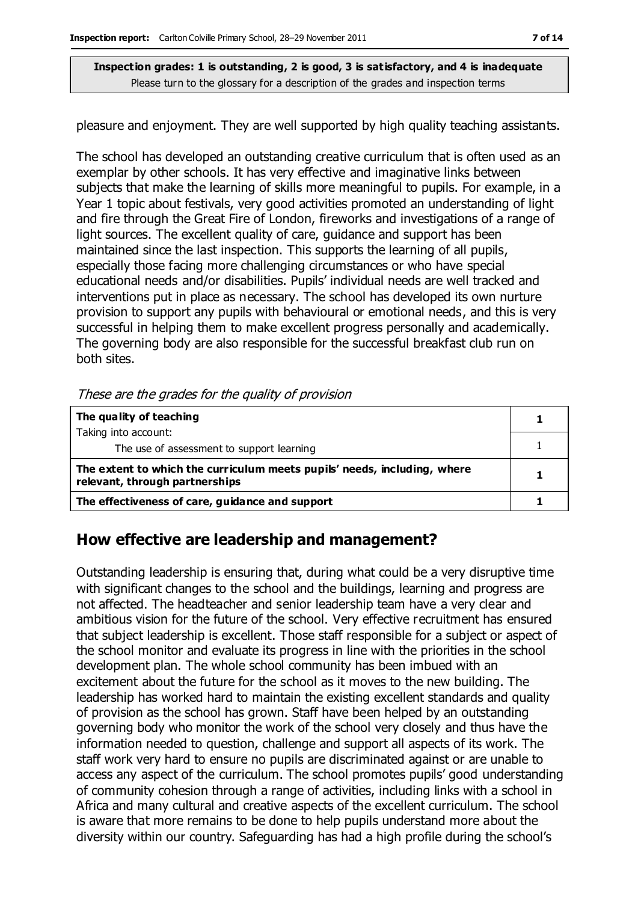pleasure and enjoyment. They are well supported by high quality teaching assistants.

The school has developed an outstanding creative curriculum that is often used as an exemplar by other schools. It has very effective and imaginative links between subjects that make the learning of skills more meaningful to pupils. For example, in a Year 1 topic about festivals, very good activities promoted an understanding of light and fire through the Great Fire of London, fireworks and investigations of a range of light sources. The excellent quality of care, guidance and support has been maintained since the last inspection. This supports the learning of all pupils, especially those facing more challenging circumstances or who have special educational needs and/or disabilities. Pupils' individual needs are well tracked and interventions put in place as necessary. The school has developed its own nurture provision to support any pupils with behavioural or emotional needs, and this is very successful in helping them to make excellent progress personally and academically. The governing body are also responsible for the successful breakfast club run on both sites.

These are the grades for the quality of provision

| The quality of teaching                                                                                    |  |
|------------------------------------------------------------------------------------------------------------|--|
| Taking into account:                                                                                       |  |
| The use of assessment to support learning                                                                  |  |
| The extent to which the curriculum meets pupils' needs, including, where<br>relevant, through partnerships |  |
| The effectiveness of care, guidance and support                                                            |  |

## **How effective are leadership and management?**

Outstanding leadership is ensuring that, during what could be a very disruptive time with significant changes to the school and the buildings, learning and progress are not affected. The headteacher and senior leadership team have a very clear and ambitious vision for the future of the school. Very effective recruitment has ensured that subject leadership is excellent. Those staff responsible for a subject or aspect of the school monitor and evaluate its progress in line with the priorities in the school development plan. The whole school community has been imbued with an excitement about the future for the school as it moves to the new building. The leadership has worked hard to maintain the existing excellent standards and quality of provision as the school has grown. Staff have been helped by an outstanding governing body who monitor the work of the school very closely and thus have the information needed to question, challenge and support all aspects of its work. The staff work very hard to ensure no pupils are discriminated against or are unable to access any aspect of the curriculum. The school promotes pupils' good understanding of community cohesion through a range of activities, including links with a school in Africa and many cultural and creative aspects of the excellent curriculum. The school is aware that more remains to be done to help pupils understand more about the diversity within our country. Safeguarding has had a high profile during the school's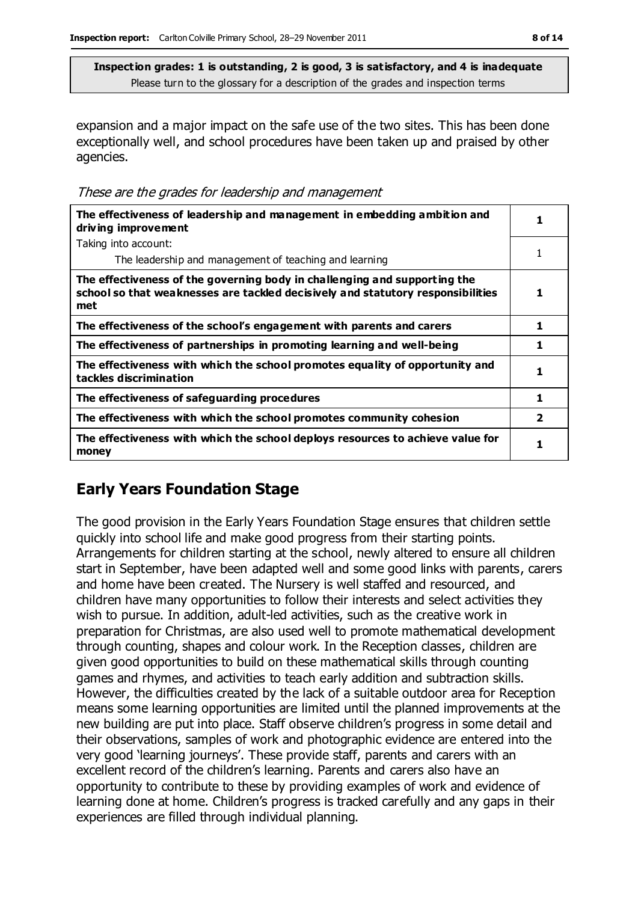expansion and a major impact on the safe use of the two sites. This has been done exceptionally well, and school procedures have been taken up and praised by other agencies.

These are the grades for leadership and management

| The effectiveness of leadership and management in embedding ambition and<br>driving improvement                                                                     |                |
|---------------------------------------------------------------------------------------------------------------------------------------------------------------------|----------------|
| Taking into account:                                                                                                                                                |                |
| The leadership and management of teaching and learning                                                                                                              |                |
| The effectiveness of the governing body in challenging and supporting the<br>school so that weaknesses are tackled decisively and statutory responsibilities<br>met | 1              |
| The effectiveness of the school's engagement with parents and carers                                                                                                |                |
| The effectiveness of partnerships in promoting learning and well-being                                                                                              |                |
| The effectiveness with which the school promotes equality of opportunity and<br>tackles discrimination                                                              |                |
| The effectiveness of safeguarding procedures                                                                                                                        | 1              |
| The effectiveness with which the school promotes community cohesion                                                                                                 | $\overline{2}$ |
| The effectiveness with which the school deploys resources to achieve value for<br>money                                                                             | 1              |

## **Early Years Foundation Stage**

The good provision in the Early Years Foundation Stage ensures that children settle quickly into school life and make good progress from their starting points. Arrangements for children starting at the school, newly altered to ensure all children start in September, have been adapted well and some good links with parents, carers and home have been created. The Nursery is well staffed and resourced, and children have many opportunities to follow their interests and select activities they wish to pursue. In addition, adult-led activities, such as the creative work in preparation for Christmas, are also used well to promote mathematical development through counting, shapes and colour work. In the Reception classes, children are given good opportunities to build on these mathematical skills through counting games and rhymes, and activities to teach early addition and subtraction skills. However, the difficulties created by the lack of a suitable outdoor area for Reception means some learning opportunities are limited until the planned improvements at the new building are put into place. Staff observe children's progress in some detail and their observations, samples of work and photographic evidence are entered into the very good 'learning journeys'. These provide staff, parents and carers with an excellent record of the children's learning. Parents and carers also have an opportunity to contribute to these by providing examples of work and evidence of learning done at home. Children's progress is tracked carefully and any gaps in their experiences are filled through individual planning.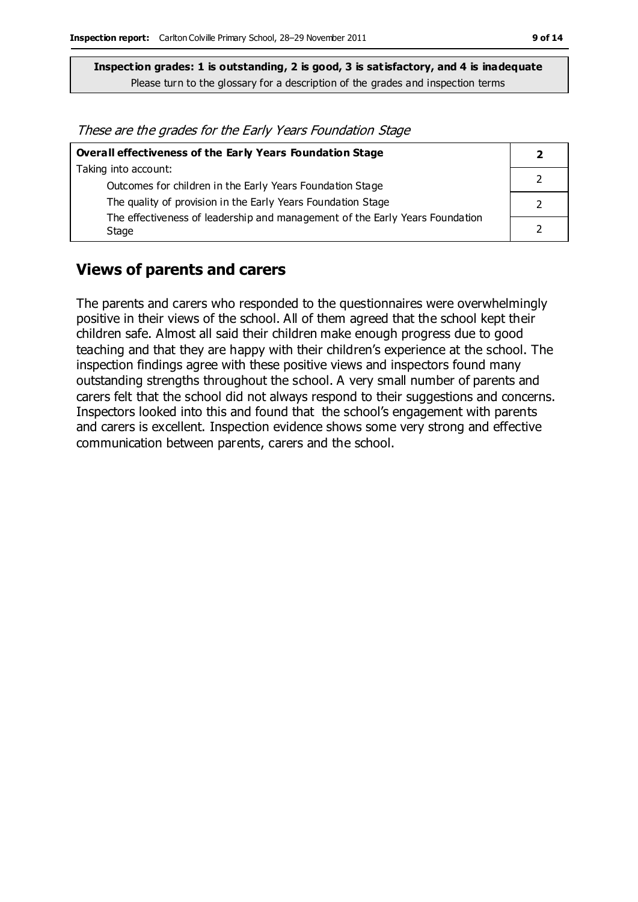These are the grades for the Early Years Foundation Stage

| Overall effectiveness of the Early Years Foundation Stage                    |  |
|------------------------------------------------------------------------------|--|
| Taking into account:                                                         |  |
| Outcomes for children in the Early Years Foundation Stage                    |  |
| The quality of provision in the Early Years Foundation Stage                 |  |
| The effectiveness of leadership and management of the Early Years Foundation |  |
| Stage                                                                        |  |

#### **Views of parents and carers**

The parents and carers who responded to the questionnaires were overwhelmingly positive in their views of the school. All of them agreed that the school kept their children safe. Almost all said their children make enough progress due to good teaching and that they are happy with their children's experience at the school. The inspection findings agree with these positive views and inspectors found many outstanding strengths throughout the school. A very small number of parents and carers felt that the school did not always respond to their suggestions and concerns. Inspectors looked into this and found that the school's engagement with parents and carers is excellent. Inspection evidence shows some very strong and effective communication between parents, carers and the school.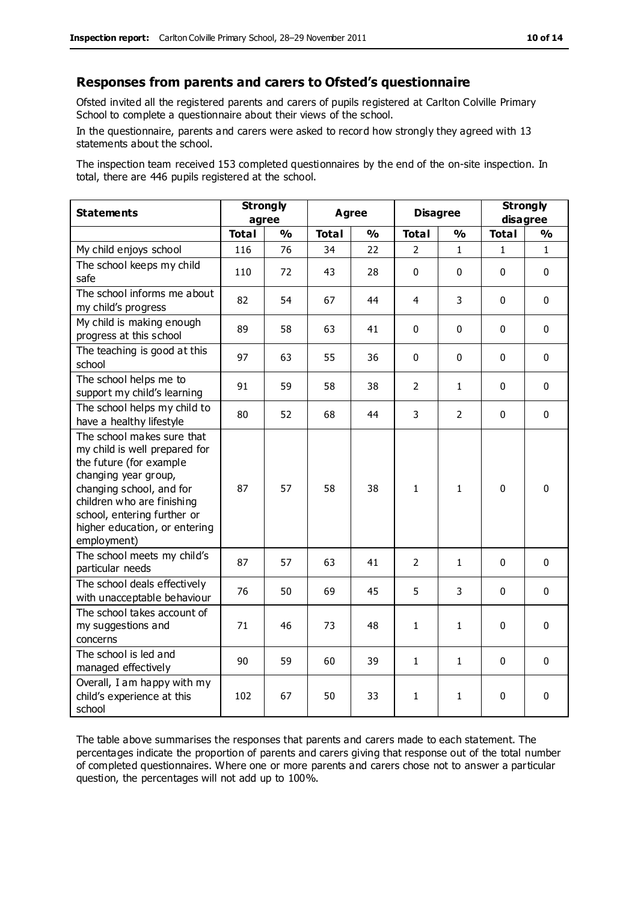#### **Responses from parents and carers to Ofsted's questionnaire**

Ofsted invited all the registered parents and carers of pupils registered at Carlton Colville Primary School to complete a questionnaire about their views of the school.

In the questionnaire, parents and carers were asked to record how strongly they agreed with 13 statements about the school.

The inspection team received 153 completed questionnaires by the end of the on-site inspection. In total, there are 446 pupils registered at the school.

| <b>Statements</b>                                                                                                                                                                                                                                       | <b>Strongly</b><br>agree |               | <b>Agree</b> |               | <b>Disagree</b> |               | <b>Strongly</b><br>disagree |               |
|---------------------------------------------------------------------------------------------------------------------------------------------------------------------------------------------------------------------------------------------------------|--------------------------|---------------|--------------|---------------|-----------------|---------------|-----------------------------|---------------|
|                                                                                                                                                                                                                                                         | <b>Total</b>             | $\frac{0}{0}$ | <b>Total</b> | $\frac{1}{2}$ | <b>Total</b>    | $\frac{0}{0}$ | <b>Total</b>                | $\frac{1}{2}$ |
| My child enjoys school                                                                                                                                                                                                                                  | 116                      | 76            | 34           | 22            | 2               | $\mathbf{1}$  | $\mathbf{1}$                | $\mathbf{1}$  |
| The school keeps my child<br>safe                                                                                                                                                                                                                       | 110                      | 72            | 43           | 28            | 0               | $\mathbf 0$   | $\Omega$                    | $\mathbf 0$   |
| The school informs me about<br>my child's progress                                                                                                                                                                                                      | 82                       | 54            | 67           | 44            | 4               | 3             | $\mathbf{0}$                | $\mathbf 0$   |
| My child is making enough<br>progress at this school                                                                                                                                                                                                    | 89                       | 58            | 63           | 41            | 0               | 0             | $\mathbf{0}$                | 0             |
| The teaching is good at this<br>school                                                                                                                                                                                                                  | 97                       | 63            | 55           | 36            | 0               | 0             | $\mathbf{0}$                | $\mathbf 0$   |
| The school helps me to<br>support my child's learning                                                                                                                                                                                                   | 91                       | 59            | 58           | 38            | $\overline{2}$  | 1             | $\mathbf{0}$                | $\mathbf{0}$  |
| The school helps my child to<br>have a healthy lifestyle                                                                                                                                                                                                | 80                       | 52            | 68           | 44            | 3               | 2             | $\mathbf{0}$                | 0             |
| The school makes sure that<br>my child is well prepared for<br>the future (for example<br>changing year group,<br>changing school, and for<br>children who are finishing<br>school, entering further or<br>higher education, or entering<br>employment) | 87                       | 57            | 58           | 38            | 1               | $\mathbf{1}$  | $\mathbf{0}$                | 0             |
| The school meets my child's<br>particular needs                                                                                                                                                                                                         | 87                       | 57            | 63           | 41            | $\overline{2}$  | 1             | $\mathbf{0}$                | 0             |
| The school deals effectively<br>with unacceptable behaviour                                                                                                                                                                                             | 76                       | 50            | 69           | 45            | 5               | 3             | $\mathbf{0}$                | $\mathbf{0}$  |
| The school takes account of<br>my suggestions and<br>concerns                                                                                                                                                                                           | 71                       | 46            | 73           | 48            | $\mathbf{1}$    | $\mathbf{1}$  | $\mathbf{0}$                | $\mathbf{0}$  |
| The school is led and<br>managed effectively                                                                                                                                                                                                            | 90                       | 59            | 60           | 39            | 1               | 1             | $\mathbf 0$                 | $\pmb{0}$     |
| Overall, I am happy with my<br>child's experience at this<br>school                                                                                                                                                                                     | 102                      | 67            | 50           | 33            | 1               | 1             | 0                           | 0             |

The table above summarises the responses that parents and carers made to each statement. The percentages indicate the proportion of parents and carers giving that response out of the total number of completed questionnaires. Where one or more parents and carers chose not to answer a particular question, the percentages will not add up to 100%.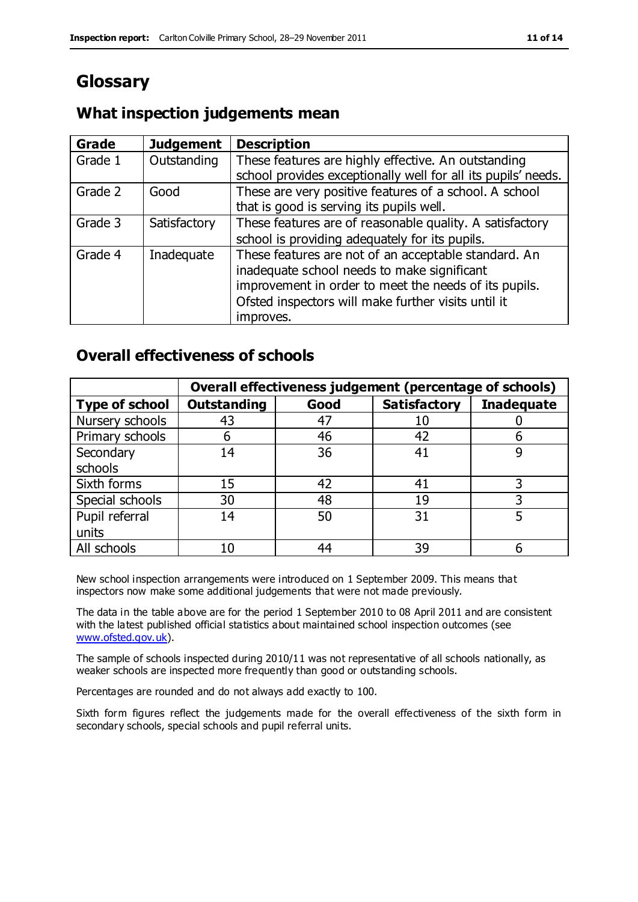# **Glossary**

## **What inspection judgements mean**

| Grade   | <b>Judgement</b> | <b>Description</b>                                            |
|---------|------------------|---------------------------------------------------------------|
| Grade 1 | Outstanding      | These features are highly effective. An outstanding           |
|         |                  | school provides exceptionally well for all its pupils' needs. |
| Grade 2 | Good             | These are very positive features of a school. A school        |
|         |                  | that is good is serving its pupils well.                      |
| Grade 3 | Satisfactory     | These features are of reasonable quality. A satisfactory      |
|         |                  | school is providing adequately for its pupils.                |
| Grade 4 | Inadequate       | These features are not of an acceptable standard. An          |
|         |                  | inadequate school needs to make significant                   |
|         |                  | improvement in order to meet the needs of its pupils.         |
|         |                  | Ofsted inspectors will make further visits until it           |
|         |                  | improves.                                                     |

## **Overall effectiveness of schools**

|                       |                    |      | Overall effectiveness judgement (percentage of schools) |                   |
|-----------------------|--------------------|------|---------------------------------------------------------|-------------------|
| <b>Type of school</b> | <b>Outstanding</b> | Good | <b>Satisfactory</b>                                     | <b>Inadequate</b> |
| Nursery schools       | 43                 | 47   | 10                                                      |                   |
| Primary schools       | 6                  | 46   | 42                                                      |                   |
| Secondary             | 14                 | 36   | 41                                                      |                   |
| schools               |                    |      |                                                         |                   |
| Sixth forms           | 15                 | 42   | 41                                                      | 3                 |
| Special schools       | 30                 | 48   | 19                                                      |                   |
| Pupil referral        | 14                 | 50   | 31                                                      |                   |
| units                 |                    |      |                                                         |                   |
| All schools           | 10                 | 44   | 39                                                      |                   |

New school inspection arrangements were introduced on 1 September 2009. This means that inspectors now make some additional judgements that were not made previously.

The data in the table above are for the period 1 September 2010 to 08 April 2011 and are consistent with the latest published official statistics about maintained school inspection outcomes (see [www.ofsted.gov.uk\)](http://www.ofsted.gov.uk/).

The sample of schools inspected during 2010/11 was not representative of all schools nationally, as weaker schools are inspected more frequently than good or outstanding schools.

Percentages are rounded and do not always add exactly to 100.

Sixth form figures reflect the judgements made for the overall effectiveness of the sixth form in secondary schools, special schools and pupil referral units.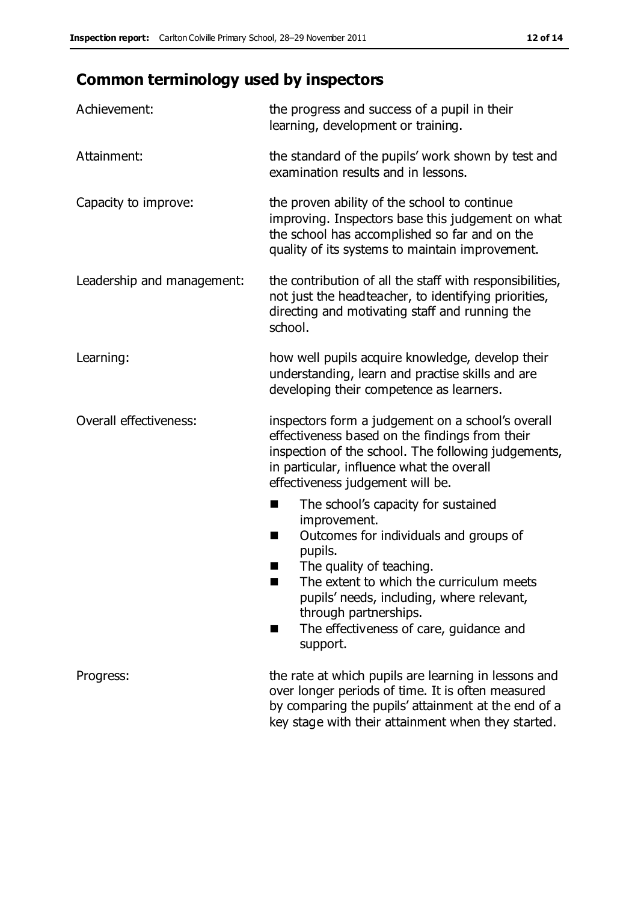# **Common terminology used by inspectors**

| Achievement:                  | the progress and success of a pupil in their<br>learning, development or training.                                                                                                                                                                                                                                           |
|-------------------------------|------------------------------------------------------------------------------------------------------------------------------------------------------------------------------------------------------------------------------------------------------------------------------------------------------------------------------|
| Attainment:                   | the standard of the pupils' work shown by test and<br>examination results and in lessons.                                                                                                                                                                                                                                    |
| Capacity to improve:          | the proven ability of the school to continue<br>improving. Inspectors base this judgement on what<br>the school has accomplished so far and on the<br>quality of its systems to maintain improvement.                                                                                                                        |
| Leadership and management:    | the contribution of all the staff with responsibilities,<br>not just the headteacher, to identifying priorities,<br>directing and motivating staff and running the<br>school.                                                                                                                                                |
| Learning:                     | how well pupils acquire knowledge, develop their<br>understanding, learn and practise skills and are<br>developing their competence as learners.                                                                                                                                                                             |
| <b>Overall effectiveness:</b> | inspectors form a judgement on a school's overall<br>effectiveness based on the findings from their<br>inspection of the school. The following judgements,<br>in particular, influence what the overall<br>effectiveness judgement will be.                                                                                  |
|                               | The school's capacity for sustained<br>×<br>improvement.<br>Outcomes for individuals and groups of<br>п<br>pupils.<br>The quality of teaching.<br>The extent to which the curriculum meets<br>pupils' needs, including, where relevant,<br>through partnerships.<br>The effectiveness of care, guidance and<br>■<br>support. |
| Progress:                     | the rate at which pupils are learning in lessons and<br>over longer periods of time. It is often measured<br>by comparing the pupils' attainment at the end of a<br>key stage with their attainment when they started.                                                                                                       |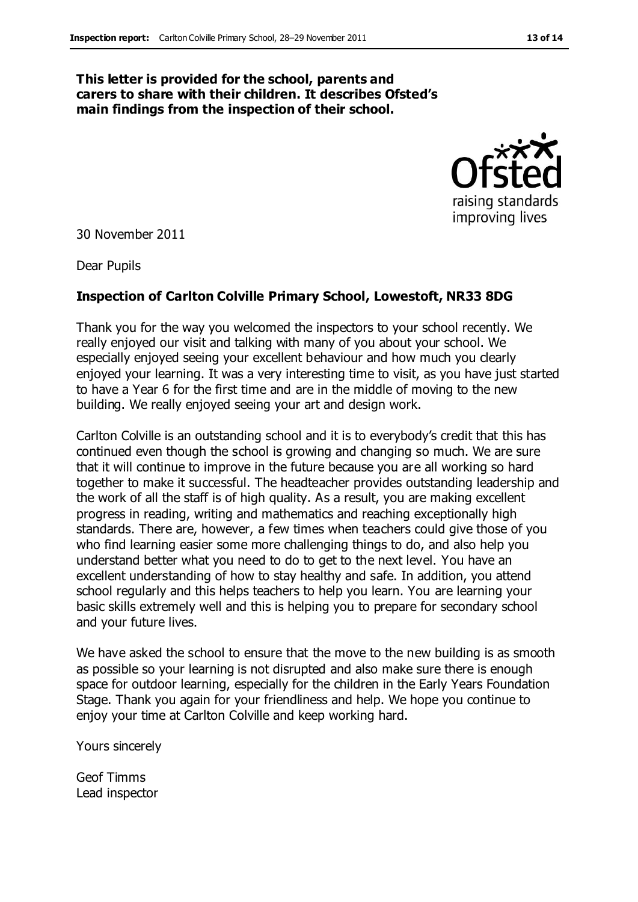#### **This letter is provided for the school, parents and carers to share with their children. It describes Ofsted's main findings from the inspection of their school.**



30 November 2011

Dear Pupils

#### **Inspection of Carlton Colville Primary School, Lowestoft, NR33 8DG**

Thank you for the way you welcomed the inspectors to your school recently. We really enjoyed our visit and talking with many of you about your school. We especially enjoyed seeing your excellent behaviour and how much you clearly enjoyed your learning. It was a very interesting time to visit, as you have just started to have a Year 6 for the first time and are in the middle of moving to the new building. We really enjoyed seeing your art and design work.

Carlton Colville is an outstanding school and it is to everybody's credit that this has continued even though the school is growing and changing so much. We are sure that it will continue to improve in the future because you are all working so hard together to make it successful. The headteacher provides outstanding leadership and the work of all the staff is of high quality. As a result, you are making excellent progress in reading, writing and mathematics and reaching exceptionally high standards. There are, however, a few times when teachers could give those of you who find learning easier some more challenging things to do, and also help you understand better what you need to do to get to the next level. You have an excellent understanding of how to stay healthy and safe. In addition, you attend school regularly and this helps teachers to help you learn. You are learning your basic skills extremely well and this is helping you to prepare for secondary school and your future lives.

We have asked the school to ensure that the move to the new building is as smooth as possible so your learning is not disrupted and also make sure there is enough space for outdoor learning, especially for the children in the Early Years Foundation Stage. Thank you again for your friendliness and help. We hope you continue to enjoy your time at Carlton Colville and keep working hard.

Yours sincerely

Geof Timms Lead inspector